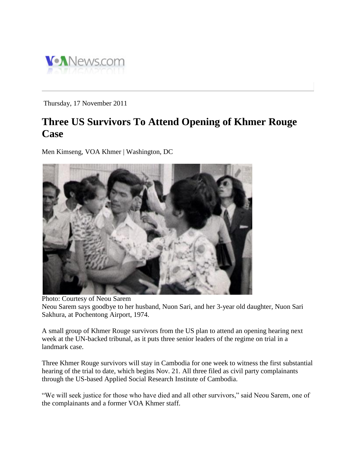

Thursday, 17 November 2011

## **Three US Survivors To Attend Opening of Khmer Rouge Case**

Men Kimseng, VOA Khmer | Washington, DC



Photo: Courtesy of Neou Sarem Neou Sarem says goodbye to her husband, Nuon Sari, and her 3-year old daughter, Nuon Sari Sakhura, at Pochentong Airport, 1974.

A small group of Khmer Rouge survivors from the US plan to attend an opening hearing next week at the UN-backed tribunal, as it puts three senior leaders of the regime on trial in a landmark case.

Three Khmer Rouge survivors will stay in Cambodia for one week to witness the first substantial hearing of the trial to date, which begins Nov. 21. All three filed as civil party complainants through the US-based Applied Social Research Institute of Cambodia.

"We will seek justice for those who have died and all other survivors," said Neou Sarem, one of the complainants and a former VOA Khmer staff.